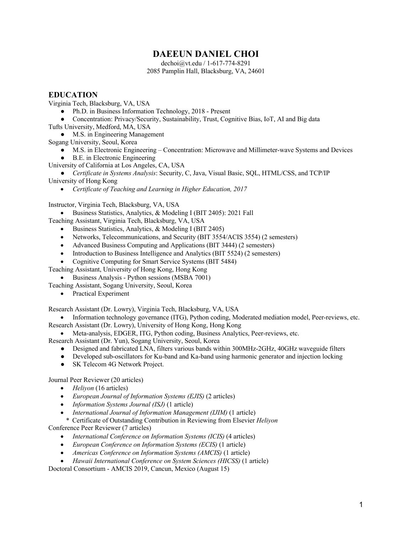# **DAEEUN DANIEL CHOI**

dechoi@vt.edu / 1-617-774-8291 2085 Pamplin Hall, Blacksburg, VA, 24601

#### **EDUCATION**

Virginia Tech, Blacksburg, VA, USA

- Ph.D. in Business Information Technology, 2018 Present
- Concentration: Privacy/Security, Sustainability, Trust, Cognitive Bias, IoT, AI and Big data

Tufts University, Medford, MA, USA

● M.S. in Engineering Management

Sogang University, Seoul, Korea

● M.S. in Electronic Engineering – Concentration: Microwave and Millimeter-wave Systems and Devices ● B.E. in Electronic Engineering

University of California at Los Angeles, CA, USA

● *Certificate in Systems Analysis*: Security, C, Java, Visual Basic, SQL, HTML/CSS, and TCP/IP University of Hong Kong

• *Certificate of Teaching and Learning in Higher Education, 2017*

Instructor, Virginia Tech, Blacksburg, VA, USA

• Business Statistics, Analytics, & Modeling I (BIT 2405): 2021 Fall

Teaching Assistant, Virginia Tech, Blacksburg, VA, USA

- Business Statistics, Analytics, & Modeling I (BIT 2405)
- Networks, Telecommunications, and Security (BIT 3554/ACIS 3554) (2 semesters)
- Advanced Business Computing and Applications (BIT 3444) (2 semesters)
- Introduction to Business Intelligence and Analytics (BIT 5524) (2 semesters)
- Cognitive Computing for Smart Service Systems (BIT 5484)

Teaching Assistant, University of Hong Kong, Hong Kong

• Business Analysis - Python sessions (MSBA 7001)

- Teaching Assistant, Sogang University, Seoul, Korea
	- Practical Experiment

Research Assistant (Dr. Lowry), Virginia Tech, Blacksburg, VA, USA

• Information technology governance (ITG), Python coding, Moderated mediation model, Peer-reviews, etc. Research Assistant (Dr. Lowry), University of Hong Kong, Hong Kong

• Meta-analysis, EDGER, ITG, Python coding, Business Analytics, Peer-reviews, etc.

Research Assistant (Dr. Yun), Sogang University, Seoul, Korea

- Designed and fabricated LNA, filters various bands within 300MHz-2GHz, 40GHz waveguide filters
- Developed sub-oscillators for Ku-band and Ka-band using harmonic generator and injection locking
- SK Telecom 4G Network Project.

Journal Peer Reviewer (20 articles)

- *Heliyon* (16 articles)
- *European Journal of Information Systems (EJIS)* (2 articles)
- *Information Systems Journal (ISJ)* (1 article)
- *International Journal of Information Management (IJIM)* (1 article)

 *\** Certificate of Outstanding Contribution in Reviewing from Elsevier *Heliyon*

Conference Peer Reviewer (7 articles)

- *International Conference on Information Systems (ICIS)* (4 articles)
- *European Conference on Information Systems (ECIS)* (1 article)
- *Americas Conference on Information Systems (AMCIS)* (1 article)
- *Hawaii International Conference on System Sciences (HICSS)* (1 article)

Doctoral Consortium - AMCIS 2019, Cancun, Mexico (August 15)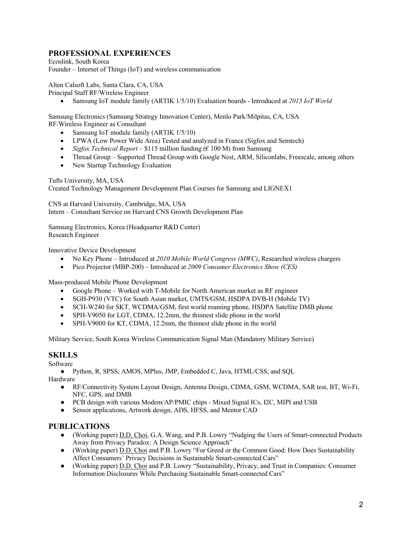## **PROFESSIONAL EXPERIENCES**

Ecoslink, South Korea Founder – Internet of Things (IoT) and wireless communication

Alten Calsoft Labs, Santa Clara, CA, USA

Principal Staff RF/Wireless Engineer

• Samsung IoT module family (ARTIK 1/5/10) Evaluation boards - Introduced at *2015 IoT World*

Samsung Electronics (Samsung Strategy Innovation Center), Menlo Park/Milpitas, CA, USA RF/Wireless Engineer as Consultant

- Samsung IoT module family (ARTIK 1/5/10)
- LPWA (Low Power Wide Area) Tested and analyzed in France (Sigfox and Semtech)
- *Sigfox Technical Report* \$115 million funding ( $\epsilon$  100 M) from Samsung
- Thread Group Supported Thread Group with Google Nest, ARM, Siliconlabs, Freescale, among others
- New Startup Technology Evaluation

Tufts University, MA, USA Created Technology Management Development Plan Courses for Samsung and LIGNEX1

CNS at Harvard University, Cambridge, MA, USA Intern – Consultant Service on Harvard CNS Growth Development Plan

Samsung Electronics, Korea (Headquarter R&D Center) Research Engineer

Innovative Device Development

- No Key Phone Introduced at *2010 Mobile World Congress (MWC)*, Researched wireless chargers
- Pico Projector (MBP-200) Introduced at *2009 Consumer Electronics Show (CES)*

Mass-produced Mobile Phone Development

- Google Phone Worked with T-Mobile for North American market as RF engineer
- SGH-P930 (VTC) for South Asian market, UMTS/GSM, HSDPA DVB-H (Mobile TV)
- SCH-W240 for SKT, WCDMA/GSM, first world roaming phone, HSDPA Satellite DMB phone
- SPH-V9050 for LGT, CDMA, 12.2mm, the thinnest slide phone in the world
- SPH-V9000 for KT, CDMA, 12.2mm, the thinnest slide phone in the world

Military Service, South Korea Wireless Communication Signal Man (Mandatory Military Service)

#### **SKILLS**

Software

● Python, R, SPSS, AMOS, MPlus, JMP, Embedded C, Java, HTML/CSS, and SQL

Hardware

- RF/Connectivity System Layout Design, Antenna Design, CDMA, GSM, WCDMA, SAR test, BT, Wi-Fi, NFC, GPS, and DMB
- PCB design with various Modem/AP/PMIC chips Mixed Signal ICs, I2C, MIPI and USB
- Sensor applications, Artwork design, ADS, HFSS, and Mentor CAD

### **PUBLICATIONS**

- (Working paper) D.D. Choi, G.A. Wang, and P.B. Lowry "Nudging the Users of Smart-connected Products Away from Privacy Paradox: A Design Science Approach"
- (Working paper) D.D. Choi and P.B. Lowry "For Greed or the Common Good: How Does Sustainability Affect Consumers' Privacy Decisions in Sustainable Smart-connected Cars"
- (Working paper) D.D. Choi and P.B. Lowry "Sustainability, Privacy, and Trust in Companies: Consumer Information Disclosures While Purchasing Sustainable Smart-connected Cars"